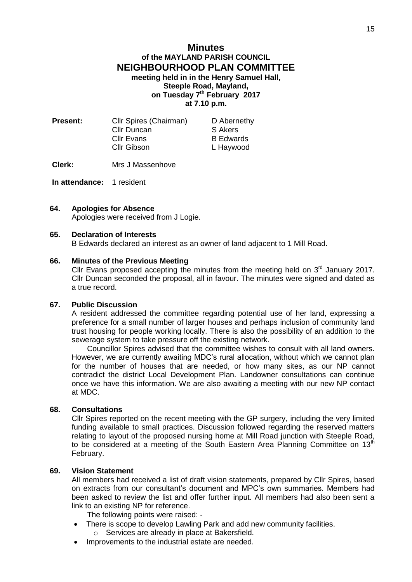# **Minutes of the MAYLAND PARISH COUNCIL NEIGHBOURHOOD PLAN COMMITTEE meeting held in in the Henry Samuel Hall, Steeple Road, Mayland, on Tuesday 7 th February 2017 at 7.10 p.m.**

| <b>Present:</b> | Cllr Spires (Chairman) | D Abernethy      |
|-----------------|------------------------|------------------|
|                 | Cllr Duncan            | S Akers          |
|                 | <b>Cllr Evans</b>      | <b>B</b> Edwards |
|                 | Cllr Gibson            | L Haywood        |
|                 |                        |                  |

**Clerk:** Mrs J Massenhove

**In attendance:** 1 resident

### **64. Apologies for Absence**

Apologies were received from J Logie.

#### **65. Declaration of Interests**

B Edwards declared an interest as an owner of land adjacent to 1 Mill Road.

#### **66. Minutes of the Previous Meeting**

Cllr Evans proposed accepting the minutes from the meeting held on  $3<sup>rd</sup>$  January 2017. Cllr Duncan seconded the proposal, all in favour. The minutes were signed and dated as a true record.

#### **67. Public Discussion**

A resident addressed the committee regarding potential use of her land, expressing a preference for a small number of larger houses and perhaps inclusion of community land trust housing for people working locally. There is also the possibility of an addition to the sewerage system to take pressure off the existing network.

Councillor Spires advised that the committee wishes to consult with all land owners. However, we are currently awaiting MDC's rural allocation, without which we cannot plan for the number of houses that are needed, or how many sites, as our NP cannot contradict the district Local Development Plan. Landowner consultations can continue once we have this information. We are also awaiting a meeting with our new NP contact at MDC.

### **68. Consultations**

Cllr Spires reported on the recent meeting with the GP surgery, including the very limited funding available to small practices. Discussion followed regarding the reserved matters relating to layout of the proposed nursing home at Mill Road junction with Steeple Road, to be considered at a meeting of the South Eastern Area Planning Committee on  $13<sup>th</sup>$ February.

#### **69. Vision Statement**

All members had received a list of draft vision statements, prepared by Cllr Spires, based on extracts from our consultant's document and MPC's own summaries. Members had been asked to review the list and offer further input. All members had also been sent a link to an existing NP for reference.

The following points were raised: -

- There is scope to develop Lawling Park and add new community facilities.
	- o Services are already in place at Bakersfield.
- Improvements to the industrial estate are needed.